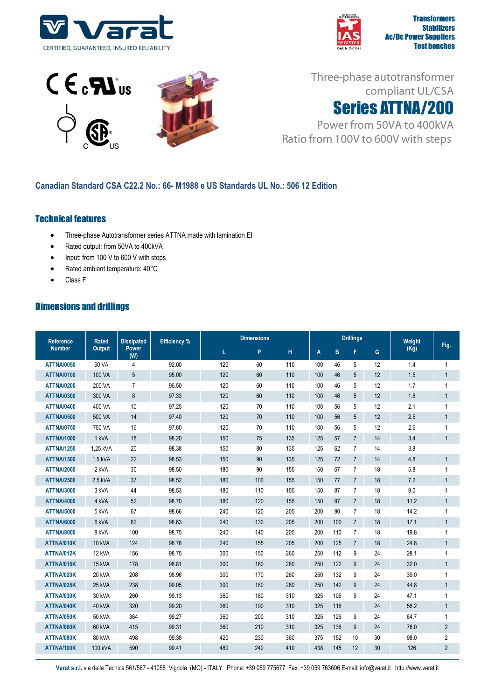





Three-phase autotransformer compliant UL/CSA



Power from 50VA to 400kVA Ratio from 100V to 600V with steps

## **Canadian Standard CSA C22.2 No.: 66- M1988 e US Standards UL No.: 506 12 Edition**

## Technical features

- Three-phase Autotransformer series ATTNA made with lamination EI
- Rated output: from 50VA to 400kVA
- Input: from 100 V to 600 V with steps
- Rated ambient temperature: 40°C
- Class F

## Dimensions and drillings

| <b>Reference</b><br><b>Number</b> | <b>Rated</b><br><b>Output</b> | <b>Dissipated</b><br><b>Power</b><br>(W) | <b>Efficiency %</b> | <b>Dimensions</b> |     |     | <b>Drillings</b> |     |                 |    | Weight |                |
|-----------------------------------|-------------------------------|------------------------------------------|---------------------|-------------------|-----|-----|------------------|-----|-----------------|----|--------|----------------|
|                                   |                               |                                          |                     | L                 | P   | н   | A                | B   | F               | G  | (Kg)   | Fig.           |
| <b>ATTNA/0050</b>                 | 50 VA                         | $\overline{4}$                           | 92.00               | 120               | 60  | 110 | 100              | 46  | 5               | 12 | 1.4    | $\mathbf{1}$   |
| <b>ATTNA/0100</b>                 | 100 VA                        | 5                                        | 95.00               | 120               | 60  | 110 | 100              | 46  | 5               | 12 | 1.5    | $\mathbf{1}$   |
| <b>ATTNA/0200</b>                 | 200 VA                        | $\overline{7}$                           | 96.50               | 120               | 60  | 110 | 100              | 46  | 5               | 12 | 1.7    | $\mathbf{1}$   |
| <b>ATTNA/0300</b>                 | 300 VA                        | 8                                        | 97.33               | 120               | 60  | 110 | 100              | 46  | 5               | 12 | 1.8    | $\mathbf{1}$   |
| <b>ATTNA/0400</b>                 | 400 VA                        | 10                                       | 97.25               | 120               | 70  | 110 | 100              | 56  | 5               | 12 | 2.1    | 1              |
| <b>ATTNA/0500</b>                 | 500 VA                        | 14                                       | 97.40               | 120               | 70  | 110 | 100              | 56  | $5\phantom{.0}$ | 12 | 2.5    | $\mathbf{1}$   |
| <b>ATTNA/0750</b>                 | 750 VA                        | 16                                       | 97.80               | 120               | 70  | 110 | 100              | 56  | 5               | 12 | 2.6    | $\mathbf{1}$   |
| <b>ATTNA/1000</b>                 | 1 kVA                         | 18                                       | 98.20               | 150               | 75  | 135 | 125              | 57  | $\overline{7}$  | 14 | 3.4    | $\mathbf{1}$   |
| <b>ATTNA/1250</b>                 | 1.25 kVA                      | 20                                       | 98.38               | 150               | 80  | 135 | 125              | 62  | $\overline{7}$  | 14 | 3.8    |                |
| <b>ATTNA/1500</b>                 | 1,5 kVA                       | 22                                       | 98.53               | 150               | 90  | 135 | 125              | 72  | $\overline{7}$  | 14 | 4.8    | $\mathbf{1}$   |
| <b>ATTNA/2000</b>                 | 2 kVA                         | 30                                       | 98.50               | 180               | 90  | 155 | 150              | 67  | $\overline{7}$  | 18 | 5.8    | 1              |
| <b>ATTNA/2500</b>                 | 2,5 kVA                       | 37                                       | 98.52               | 180               | 100 | 155 | 150              | 77  | $\overline{7}$  | 18 | 7.2    | $\mathbf{1}$   |
| <b>ATTNA/3000</b>                 | 3 kVA                         | 44                                       | 98.53               | 180               | 110 | 155 | 150              | 87  | $\overline{7}$  | 18 | 9.0    | $\mathbf{1}$   |
| <b>ATTNA/4000</b>                 | 4 kVA                         | 52                                       | 98.70               | 180               | 120 | 155 | 150              | 97  | $\overline{7}$  | 18 | 11.2   | $\mathbf{1}$   |
| <b>ATTNA/5000</b>                 | 5 kVA                         | 67                                       | 98.66               | 240               | 120 | 205 | 200              | 90  | $\overline{7}$  | 18 | 14.2   | 1              |
| <b>ATTNA/6000</b>                 | 6 kVA                         | 82                                       | 98.63               | 240               | 130 | 205 | 200              | 100 | $\overline{7}$  | 18 | 17.1   | $\mathbf{1}$   |
| <b>ATTNA/8000</b>                 | 8 kVA                         | 100                                      | 98.75               | 240               | 140 | 205 | 200              | 110 | $\overline{7}$  | 18 | 19.8   | $\mathbf{1}$   |
| ATTNA/010K                        | <b>10 kVA</b>                 | 124                                      | 98.76               | 240               | 155 | 205 | 200              | 125 | $\overline{7}$  | 18 | 24.8   | $\mathbf{1}$   |
| ATTNA/012K                        | 12 kVA                        | 156                                      | 98.75               | 300               | 150 | 260 | 250              | 112 | 9               | 24 | 28.1   | $\mathbf{1}$   |
| ATTNA/015K                        | 15 kVA                        | 178                                      | 98.81               | 300               | 160 | 260 | 250              | 122 | 9               | 24 | 32.0   | $\mathbf{1}$   |
| ATTNA/020K                        | 20 kVA                        | 208                                      | 98.96               | 300               | 170 | 260 | 250              | 132 | 9               | 24 | 39.0   | 1              |
| ATTNA/025K                        | 25 kVA                        | 238                                      | 99.05               | 300               | 180 | 260 | 250              | 142 | 9               | 24 | 44.8   | $\mathbf{1}$   |
| ATTNA/030K                        | 30 kVA                        | 260                                      | 99.13               | 360               | 180 | 310 | 325              | 106 | 9               | 24 | 47.1   | $\mathbf{1}$   |
| ATTNA/040K                        | 40 kVA                        | 320                                      | 99.20               | 360               | 190 | 310 | 325              | 116 |                 | 24 | 56.2   | 1              |
| ATTNA/050K                        | <b>50 kVA</b>                 | 364                                      | 99.27               | 360               | 200 | 310 | 325              | 126 | 9               | 24 | 64.7   | $\mathbf{1}$   |
| ATTNA/060K                        | 60 kVA                        | 415                                      | 99.31               | 360               | 210 | 310 | 325              | 136 | $9\,$           | 24 | 76.0   | $\overline{2}$ |
| ATTNA/080K                        | 80 kVA                        | 498                                      | 99.38               | 420               | 230 | 360 | 375              | 152 | 10              | 30 | 98.0   | $\overline{c}$ |
| ATTNA/100K                        | 100 kVA                       | 590                                      | 99.41               | 480               | 240 | 410 | 438              | 145 | 12              | 30 | 126    | $\overline{2}$ |

**Varat s.r.l.** via della Tecnica 561/567 - 41058 Vignola (MO) - ITALY Phone: +39 059 775677 Fax: +39 059 763696 E-mail: info@varat.it http://www.varat.it